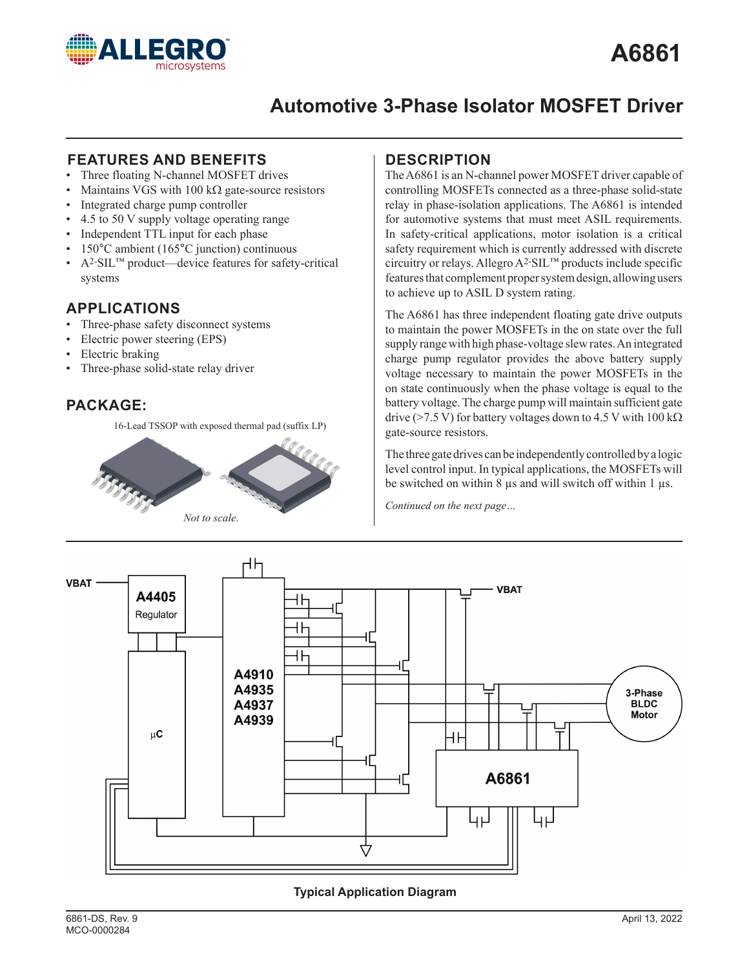

# **Automotive 3-Phase Isolator MOSFET Driver**

#### **FEATURES AND BENEFITS DESCRIPTION**

- Three floating N-channel MOSFET drives
- Maintains VGS with 100 k $\Omega$  gate-source resistors
- Integrated charge pump controller
- 4.5 to 50 V supply voltage operating range
- Independent TTL input for each phase
- 150°C ambient (165°C junction) continuous
- A2-SIL™ product—device features for safety-critical systems

## **APPLICATIONS**

- Three-phase safety disconnect systems
- Electric power steering (EPS)
- Electric braking
- Three-phase solid-state relay driver

# **PACKAGE:**

16-Lead TSSOP with exposed thermal pad (suffix LP)



The A6861 is an N-channel power MOSFET driver capable of controlling MOSFETs connected as a three-phase solid-state relay in phase-isolation applications. The A6861 is intended for automotive systems that must meet ASIL requirements. In safety-critical applications, motor isolation is a critical safety requirement which is currently addressed with discrete circuitry or relays. Allegro A2-SIL™ products include specific features that complement proper system design, allowing users to achieve up to ASIL D system rating.

The A6861 has three independent floating gate drive outputs to maintain the power MOSFETs in the on state over the full supply range with high phase-voltage slew rates. An integrated charge pump regulator provides the above battery supply voltage necessary to maintain the power MOSFETs in the on state continuously when the phase voltage is equal to the battery voltage. The charge pump will maintain sufficient gate drive (>7.5 V) for battery voltages down to 4.5 V with  $100 \text{ k}\Omega$ gate-source resistors.

The three gate drives can be independently controlled by a logic level control input. In typical applications, the MOSFETs will be switched on within 8  $\mu$ s and will switch off within 1  $\mu$ s.

*Continued on the next page…*



#### **Typical Application Diagram**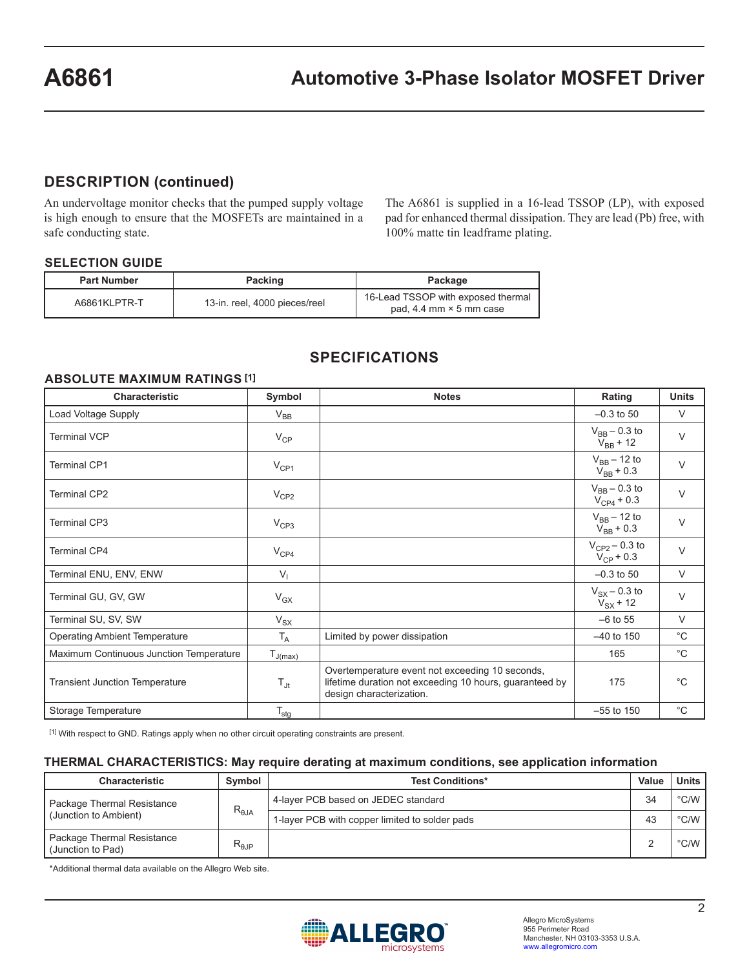#### **DESCRIPTION (continued)**

An undervoltage monitor checks that the pumped supply voltage is high enough to ensure that the MOSFETs are maintained in a safe conducting state.

The A6861 is supplied in a 16-lead TSSOP (LP), with exposed pad for enhanced thermal dissipation. They are lead (Pb) free, with 100% matte tin leadframe plating.

#### **SELECTION GUIDE**

| <b>Part Number</b> | Packing                       | Package                                                              |
|--------------------|-------------------------------|----------------------------------------------------------------------|
| A6861KLPTR-T       | 13-in. reel, 4000 pieces/reel | 16-Lead TSSOP with exposed thermal<br>pad, 4.4 mm $\times$ 5 mm case |

| Characteristic                          | Symbol           | <b>Notes</b>                                                                                                                           | Rating                                 | <b>Units</b> |
|-----------------------------------------|------------------|----------------------------------------------------------------------------------------------------------------------------------------|----------------------------------------|--------------|
| Load Voltage Supply                     | $V_{BB}$         |                                                                                                                                        | $-0.3$ to 50                           | V            |
| <b>Terminal VCP</b>                     | $V_{CP}$         |                                                                                                                                        | $V_{BB}$ – 0.3 to<br>$V_{BB}$ + 12     | $\vee$       |
| <b>Terminal CP1</b>                     | $V_{CP1}$        |                                                                                                                                        | $V_{BB}$ – 12 to<br>$V_{BB}$ + 0.3     | $\vee$       |
| <b>Terminal CP2</b>                     | $V_{CP2}$        |                                                                                                                                        | $V_{BB}$ – 0.3 to<br>$V_{CP4}$ + 0.3   | V            |
| <b>Terminal CP3</b>                     | $V_{CP3}$        |                                                                                                                                        | $V_{BB}$ – 12 to<br>$V_{BB}$ + 0.3     | V            |
| <b>Terminal CP4</b>                     | $V_{CP4}$        |                                                                                                                                        | $V_{CP2} - 0.3$ to<br>$V_{CP}$ + 0.3   | $\vee$       |
| Terminal ENU, ENV, ENW                  | $V_{1}$          |                                                                                                                                        | $-0.3$ to 50                           | V            |
| Terminal GU, GV, GW                     | $V_{GX}$         |                                                                                                                                        | $V_{SX}$ – 0.3 to<br>$V_{\rm SY}$ + 12 | $\vee$       |
| Terminal SU, SV, SW                     | $V_{SX}$         |                                                                                                                                        | $-6$ to 55                             | V            |
| <b>Operating Ambient Temperature</b>    | $T_A$            | Limited by power dissipation                                                                                                           | $-40$ to 150                           | $^{\circ}C$  |
| Maximum Continuous Junction Temperature | $T_{J(max)}$     |                                                                                                                                        | 165                                    | $^{\circ}C$  |
| <b>Transient Junction Temperature</b>   | $T_{\text{Jt}}$  | Overtemperature event not exceeding 10 seconds,<br>lifetime duration not exceeding 10 hours, guaranteed by<br>design characterization. | 175                                    | $^{\circ}C$  |
| Storage Temperature                     | $T_{\text{stg}}$ |                                                                                                                                        | $-55$ to 150                           | $^{\circ}$ C |

#### **SPECIFICATIONS**

#### **ABSOLUTE MAXIMUM RATINGS [1]**

[1] With respect to GND. Ratings apply when no other circuit operating constraints are present.

#### **THERMAL CHARACTERISTICS: May require derating at maximum conditions, see application information**

| <b>Characteristic</b>                               | Symbol         | <b>Test Conditions*</b>                        | <b>Value</b> | <b>Units</b>  |
|-----------------------------------------------------|----------------|------------------------------------------------|--------------|---------------|
| Package Thermal Resistance<br>(Junction to Ambient) | $R_{\theta$ JA | 4-layer PCB based on JEDEC standard            | 34           | °C/W          |
|                                                     |                | 1-layer PCB with copper limited to solder pads | 43           | $\degree$ C/W |
| Package Thermal Resistance<br>(Junction to Pad)     | $R_{\theta$ JP |                                                |              | $\degree$ C/W |

\*Additional thermal data available on the Allegro Web site.

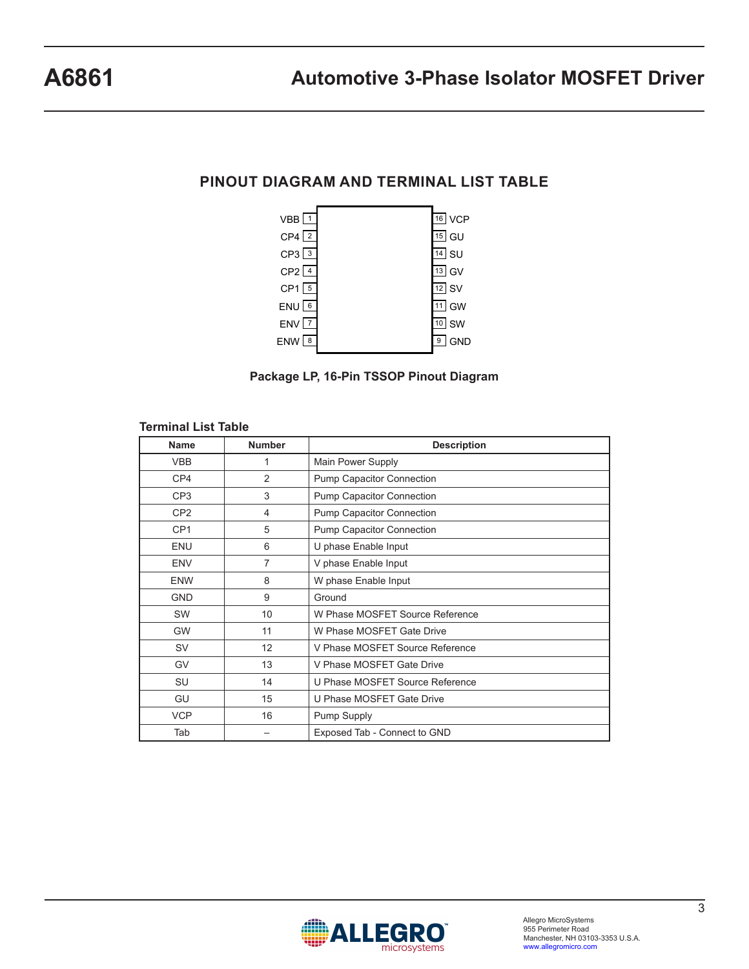#### **PINOUT DIAGRAM AND TERMINAL LIST TABLE**





#### **Terminal List Table**

| <b>Name</b>     | <b>Number</b>  | <b>Description</b>               |
|-----------------|----------------|----------------------------------|
| <b>VBB</b>      | 1              | Main Power Supply                |
| CP4             | 2              | <b>Pump Capacitor Connection</b> |
| CP <sub>3</sub> | 3              | <b>Pump Capacitor Connection</b> |
| CP <sub>2</sub> | 4              | Pump Capacitor Connection        |
| CP <sub>1</sub> | 5              | Pump Capacitor Connection        |
| <b>ENU</b>      | 6              | U phase Enable Input             |
| <b>ENV</b>      | $\overline{7}$ | V phase Enable Input             |
| <b>ENW</b>      | 8              | W phase Enable Input             |
| <b>GND</b>      | 9              | Ground                           |
| SW              | 10             | W Phase MOSFET Source Reference  |
| <b>GW</b>       | 11             | W Phase MOSFET Gate Drive        |
| <b>SV</b>       | 12             | V Phase MOSFET Source Reference  |
| GV              | 13             | V Phase MOSFET Gate Drive        |
| <b>SU</b>       | 14             | U Phase MOSFFT Source Reference  |
| GU              | 15             | U Phase MOSFET Gate Drive        |
| <b>VCP</b>      | 16             | Pump Supply                      |
| Tab             |                | Exposed Tab - Connect to GND     |

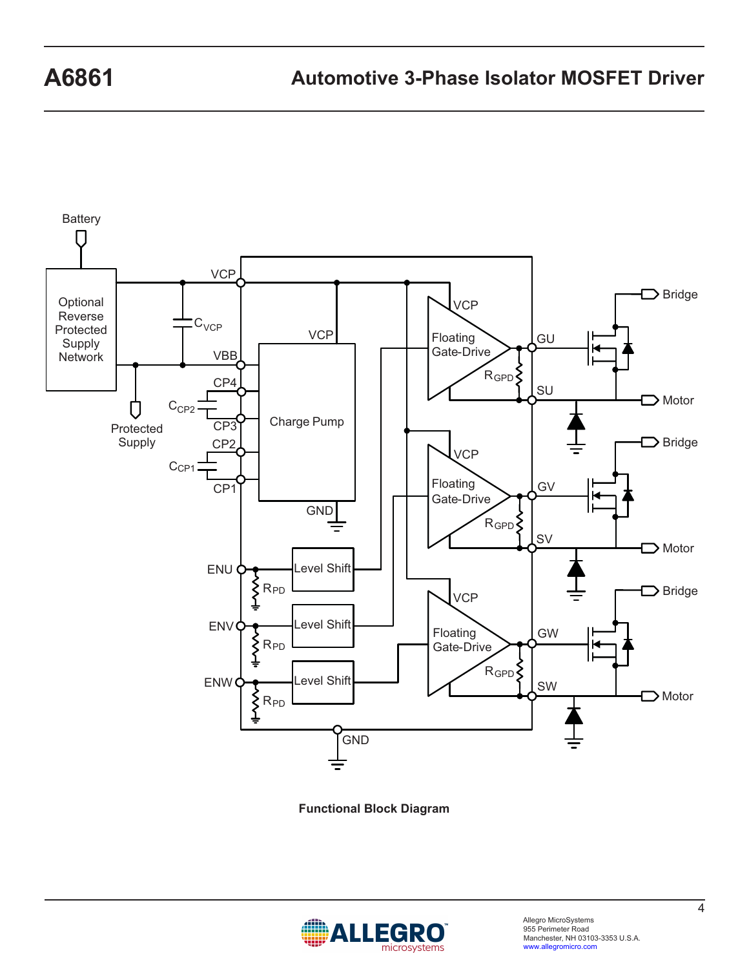

**Functional Block Diagram**

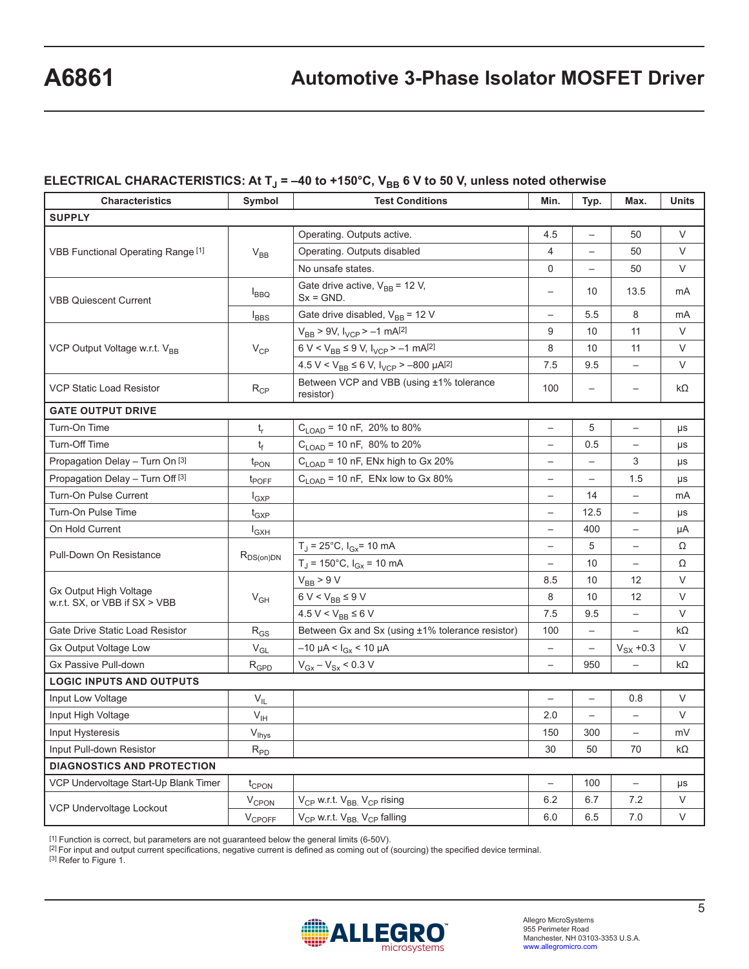#### ELECTRICAL CHARACTERISTICS: At T<sub>J</sub> = -40 to +150°C, V<sub>BB</sub> 6 V to 50 V, unless noted otherwise

| <b>Characteristics</b>                                  | Symbol                     | <b>Test Conditions</b>                                          | Min.                     | Typ.                     | Max.                     | <b>Units</b> |
|---------------------------------------------------------|----------------------------|-----------------------------------------------------------------|--------------------------|--------------------------|--------------------------|--------------|
| <b>SUPPLY</b>                                           |                            |                                                                 |                          |                          |                          |              |
| VBB Functional Operating Range [1]                      | $V_{BB}$                   | Operating. Outputs active.                                      | 4.5                      | $\overline{\phantom{0}}$ | 50                       | $\vee$       |
|                                                         |                            | Operating. Outputs disabled                                     | $\overline{4}$           |                          | 50                       | V            |
|                                                         |                            | No unsafe states.                                               | $\mathbf 0$              |                          | 50                       | $\vee$       |
| <b>VBB Quiescent Current</b>                            | $I_{BBQ}$                  | Gate drive active, $V_{BB}$ = 12 V,<br>$Sx = GND$ .             | $\qquad \qquad -$        | 10                       | 13.5                     | mA           |
|                                                         | $I_{BBS}$                  | Gate drive disabled, $V_{BB}$ = 12 V                            | $\overline{\phantom{0}}$ | 5.5                      | 8                        | mA           |
|                                                         | $V_{CP}$                   | $V_{BB}$ > 9V, $I_{VCP}$ > -1 mA[2]                             | 9                        | 10                       | 11                       | V            |
| VCP Output Voltage w.r.t. V <sub>BB</sub>               |                            | $6 V < V_{BB} \le 9 V$ , $I_{VCP} > -1$ mA <sup>[2]</sup>       | 8                        | 10                       | 11                       | V            |
|                                                         |                            | $4.5 V < V_{BB} \le 6 V$ , $I_{VCP} > -800 \mu A^{[2]}$         | 7.5                      | 9.5                      | $\overline{\phantom{0}}$ | V            |
| <b>VCP Static Load Resistor</b>                         | $R_{CP}$                   | Between VCP and VBB (using ±1% tolerance<br>resistor)           | 100                      | $\overline{a}$           | $\overline{\phantom{0}}$ | kΩ           |
| <b>GATE OUTPUT DRIVE</b>                                |                            |                                                                 |                          |                          |                          |              |
| Turn-On Time                                            | $t_{r}$                    | $C_{\text{LOAD}}$ = 10 nF, 20% to 80%                           |                          | 5                        | $\overline{\phantom{0}}$ | μs           |
| Turn-Off Time                                           | $t_f$                      | $C_{\text{LOAD}}$ = 10 nF, 80% to 20%                           | $\overline{\phantom{m}}$ | 0.5                      | $\overline{\phantom{0}}$ | μs           |
| Propagation Delay - Turn On [3]                         | t <sub>PON</sub>           | $C_{\text{LOAD}}$ = 10 nF, ENx high to Gx 20%                   | $\overline{\phantom{0}}$ |                          | 3                        | μs           |
| Propagation Delay - Turn Off <sup>[3]</sup>             | t <sub>POFF</sub>          | $C_{\text{LOAD}}$ = 10 nF, ENx low to Gx 80%                    |                          |                          | 1.5                      | μs           |
| Turn-On Pulse Current                                   | $I_{GXP}$                  |                                                                 | $\overline{\phantom{0}}$ | 14                       | $\overline{\phantom{0}}$ | mA           |
| Turn-On Pulse Time                                      | $t_{GXP}$                  |                                                                 | $\overline{\phantom{0}}$ | 12.5                     | $\overline{\phantom{0}}$ | μs           |
| On Hold Current                                         | $I_{GXH}$                  |                                                                 | $\overline{\phantom{0}}$ | 400                      | $\overline{\phantom{0}}$ | μA           |
| Pull-Down On Resistance                                 | $R_{DS(on)DN}$             | $T_J = 25^{\circ}C$ , $I_{GX} = 10$ mA                          | $\overline{\phantom{0}}$ | 5                        | $\overline{\phantom{0}}$ | Ω            |
|                                                         |                            | $T_J = 150^{\circ}C$ , $I_{Gx} = 10$ mA                         |                          | 10                       |                          | Ω            |
|                                                         |                            | $V_{BB}$ > 9 V                                                  | 8.5                      | 10                       | 12                       | $\vee$       |
| Gx Output High Voltage<br>w.r.t. SX, or VBB if SX > VBB | $V_{GH}$                   | $6 V < V_{BB} \leq 9 V$                                         | 8                        | 10                       | 12                       | $\vee$       |
|                                                         |                            | $4.5 V < V_{BB} \le 6 V$                                        | 7.5                      | 9.5                      |                          | $\vee$       |
| Gate Drive Static Load Resistor                         | $\rm R_{GS}$               | Between Gx and Sx (using ±1% tolerance resistor)                | 100                      | $\overline{\phantom{0}}$ |                          | $k\Omega$    |
| <b>Gx Output Voltage Low</b>                            | $V_{GL}$                   | $-10 \mu A < I_{Gx} < 10 \mu A$                                 | $\qquad \qquad -$        | $\overline{\phantom{0}}$ | $V_{SX}$ +0.3            | $\vee$       |
| <b>Gx Passive Pull-down</b>                             | $R_{GPD}$                  | $V_{\text{Gx}} - V_{\text{Sx}} < 0.3 V$                         |                          | 950                      |                          | $k\Omega$    |
| <b>LOGIC INPUTS AND OUTPUTS</b>                         |                            |                                                                 |                          |                          |                          |              |
| Input Low Voltage                                       | $V_{IL}$                   |                                                                 |                          |                          | 0.8                      | $\vee$       |
| Input High Voltage                                      | $V_{\text{IH}}$            |                                                                 | 2.0                      |                          |                          | $\vee$       |
| Input Hysteresis                                        | V <sub>Ihys</sub>          |                                                                 | 150                      | 300                      |                          | mV           |
| Input Pull-down Resistor                                | $\mathsf{R}_{\mathsf{PD}}$ |                                                                 | 30                       | 50                       | 70                       | $k\Omega$    |
| <b>DIAGNOSTICS AND PROTECTION</b>                       |                            |                                                                 |                          |                          |                          |              |
| VCP Undervoltage Start-Up Blank Timer                   | t <sub>CPON</sub>          |                                                                 | $\overline{\phantom{0}}$ | 100                      | $\overline{\phantom{0}}$ | μs           |
| VCP Undervoltage Lockout                                | V <sub>CPON</sub>          | V <sub>CP</sub> w.r.t. V <sub>BB.</sub> V <sub>CP</sub> rising  | 6.2                      | 6.7                      | 7.2                      | V            |
|                                                         | $V_{\text{CPOEF}}$         | V <sub>CP</sub> w.r.t. V <sub>BB.</sub> V <sub>CP</sub> falling | 6.0                      | 6.5                      | 7.0                      | V            |

[1] Function is correct, but parameters are not guaranteed below the general limits (6-50V).

[2] For input and output current specifications, negative current is defined as coming out of (sourcing) the specified device terminal.

[3] Refer to Figure 1.

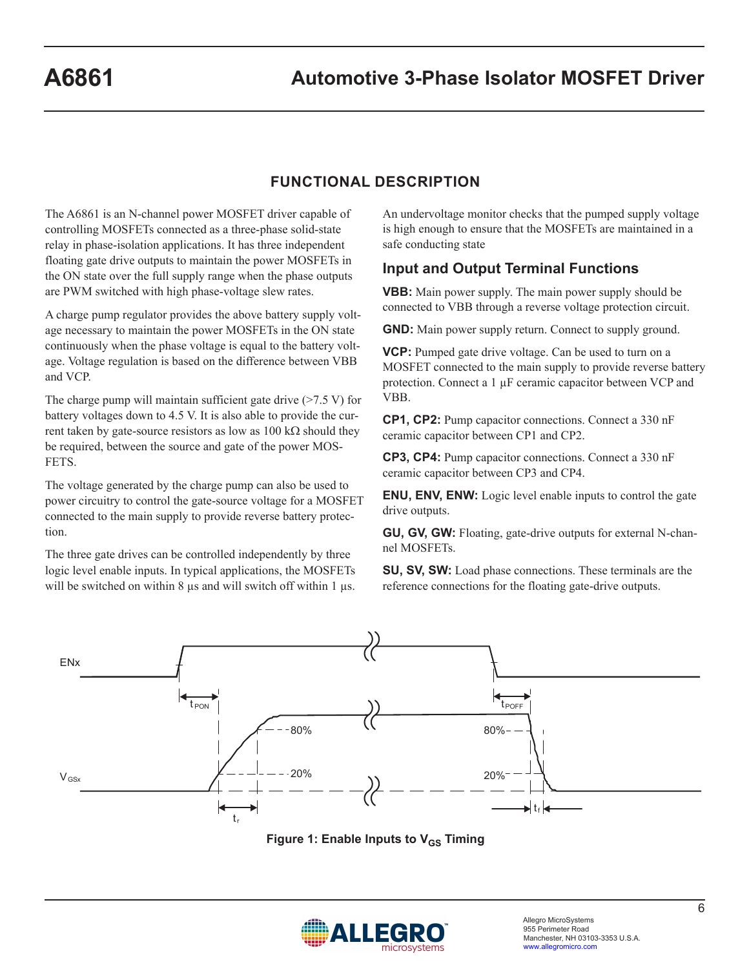#### **FUNCTIONAL DESCRIPTION**

The A6861 is an N-channel power MOSFET driver capable of controlling MOSFETs connected as a three-phase solid-state relay in phase-isolation applications. It has three independent floating gate drive outputs to maintain the power MOSFETs in the ON state over the full supply range when the phase outputs are PWM switched with high phase-voltage slew rates.

A charge pump regulator provides the above battery supply voltage necessary to maintain the power MOSFETs in the ON state continuously when the phase voltage is equal to the battery voltage. Voltage regulation is based on the difference between VBB and VCP.

The charge pump will maintain sufficient gate drive  $(27.5 \text{ V})$  for battery voltages down to 4.5 V. It is also able to provide the current taken by gate-source resistors as low as  $100 \text{ k}\Omega$  should they be required, between the source and gate of the power MOS-FETS.

The voltage generated by the charge pump can also be used to power circuitry to control the gate-source voltage for a MOSFET connected to the main supply to provide reverse battery protection.

The three gate drives can be controlled independently by three logic level enable inputs. In typical applications, the MOSFETs will be switched on within 8  $\mu$ s and will switch off within 1  $\mu$ s. An undervoltage monitor checks that the pumped supply voltage is high enough to ensure that the MOSFETs are maintained in a safe conducting state

#### **Input and Output Terminal Functions**

**VBB:** Main power supply. The main power supply should be connected to VBB through a reverse voltage protection circuit.

**GND:** Main power supply return. Connect to supply ground.

**VCP:** Pumped gate drive voltage. Can be used to turn on a MOSFET connected to the main supply to provide reverse battery protection. Connect a 1 µF ceramic capacitor between VCP and VBB.

**CP1, CP2:** Pump capacitor connections. Connect a 330 nF ceramic capacitor between CP1 and CP2.

**CP3, CP4:** Pump capacitor connections. Connect a 330 nF ceramic capacitor between CP3 and CP4.

**ENU, ENV, ENW:** Logic level enable inputs to control the gate drive outputs.

**GU, GV, GW:** Floating, gate-drive outputs for external N-channel MOSFETs.

**SU, SV, SW:** Load phase connections. These terminals are the reference connections for the floating gate-drive outputs.



**Figure 1: Enable Inputs to V<sub>GS</sub> Timing** 

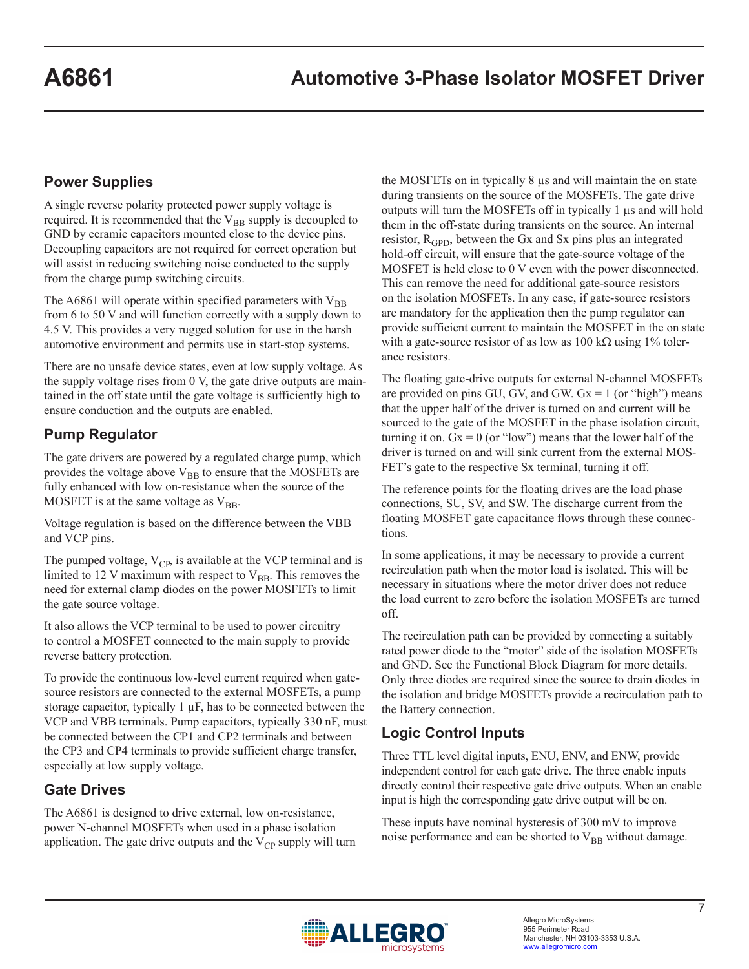# **Power Supplies**

A single reverse polarity protected power supply voltage is required. It is recommended that the  $V_{BB}$  supply is decoupled to GND by ceramic capacitors mounted close to the device pins. Decoupling capacitors are not required for correct operation but will assist in reducing switching noise conducted to the supply from the charge pump switching circuits.

The A6861 will operate within specified parameters with  $V_{BB}$ from 6 to 50 V and will function correctly with a supply down to 4.5 V. This provides a very rugged solution for use in the harsh automotive environment and permits use in start-stop systems.

There are no unsafe device states, even at low supply voltage. As the supply voltage rises from 0 V, the gate drive outputs are maintained in the off state until the gate voltage is sufficiently high to ensure conduction and the outputs are enabled.

## **Pump Regulator**

The gate drivers are powered by a regulated charge pump, which provides the voltage above  $V_{BB}$  to ensure that the MOSFETs are fully enhanced with low on-resistance when the source of the MOSFET is at the same voltage as  $V_{BB}$ .

Voltage regulation is based on the difference between the VBB and VCP pins.

The pumped voltage,  $V_{\text{CP}}$ , is available at the VCP terminal and is limited to 12 V maximum with respect to  $V_{BB}$ . This removes the need for external clamp diodes on the power MOSFETs to limit the gate source voltage.

It also allows the VCP terminal to be used to power circuitry to control a MOSFET connected to the main supply to provide reverse battery protection.

To provide the continuous low-level current required when gatesource resistors are connected to the external MOSFETs, a pump storage capacitor, typically 1 µF, has to be connected between the VCP and VBB terminals. Pump capacitors, typically 330 nF, must be connected between the CP1 and CP2 terminals and between the CP3 and CP4 terminals to provide sufficient charge transfer, especially at low supply voltage.

## **Gate Drives**

The A6861 is designed to drive external, low on-resistance, power N-channel MOSFETs when used in a phase isolation application. The gate drive outputs and the  $V_{CP}$  supply will turn the MOSFETs on in typically 8 µs and will maintain the on state during transients on the source of the MOSFETs. The gate drive outputs will turn the MOSFETs off in typically 1 µs and will hold them in the off-state during transients on the source. An internal resistor,  $R_{GPD}$ , between the Gx and Sx pins plus an integrated hold-off circuit, will ensure that the gate-source voltage of the MOSFET is held close to 0 V even with the power disconnected. This can remove the need for additional gate-source resistors on the isolation MOSFETs. In any case, if gate-source resistors are mandatory for the application then the pump regulator can provide sufficient current to maintain the MOSFET in the on state with a gate-source resistor of as low as  $100 \text{ k}\Omega$  using 1% tolerance resistors.

The floating gate-drive outputs for external N-channel MOSFETs are provided on pins GU, GV, and GW.  $Gx = 1$  (or "high") means that the upper half of the driver is turned on and current will be sourced to the gate of the MOSFET in the phase isolation circuit, turning it on.  $Gx = 0$  (or "low") means that the lower half of the driver is turned on and will sink current from the external MOS-FET's gate to the respective Sx terminal, turning it off.

The reference points for the floating drives are the load phase connections, SU, SV, and SW. The discharge current from the floating MOSFET gate capacitance flows through these connections.

In some applications, it may be necessary to provide a current recirculation path when the motor load is isolated. This will be necessary in situations where the motor driver does not reduce the load current to zero before the isolation MOSFETs are turned off.

The recirculation path can be provided by connecting a suitably rated power diode to the "motor" side of the isolation MOSFETs and GND. See the Functional Block Diagram for more details. Only three diodes are required since the source to drain diodes in the isolation and bridge MOSFETs provide a recirculation path to the Battery connection.

# **Logic Control Inputs**

Three TTL level digital inputs, ENU, ENV, and ENW, provide independent control for each gate drive. The three enable inputs directly control their respective gate drive outputs. When an enable input is high the corresponding gate drive output will be on.

These inputs have nominal hysteresis of 300 mV to improve noise performance and can be shorted to  $V_{BB}$  without damage.

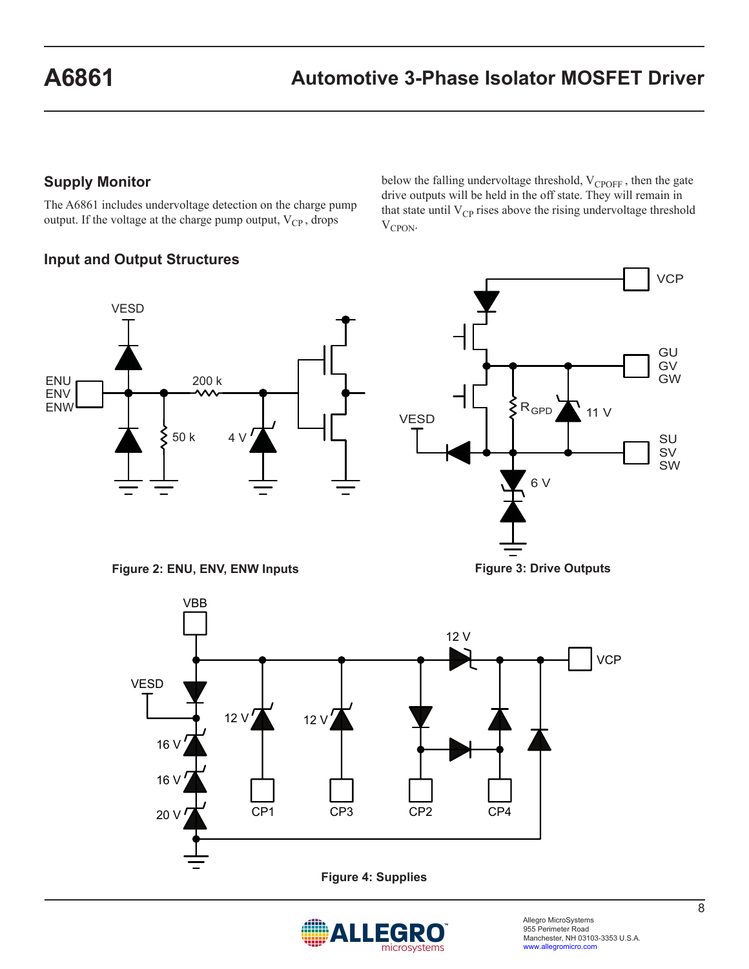below the falling undervoltage threshold,  $\rm V_{CPOFF}$  , then the gate drive outputs will be held in the off state. They will remain in

 $\xi_{\rm R_{GPD}}$ 

 $\frac{1}{11}$  V

6 V

**Figure 3: Drive Outputs**

**VCP** 

GU GV GW

SU SV SW

## **Supply Monitor**

The A6861 includes undervoltage detection on the charge pump output. If the voltage at the charge pump output,  $V_{CP}$ , drops

## **Input and Output Structures**

that state until  $V_{CP}$  rises above the rising undervoltage threshold  $V_{CPON}$ .

VESD



**Figure 2: ENU, ENV, ENW Inputs**



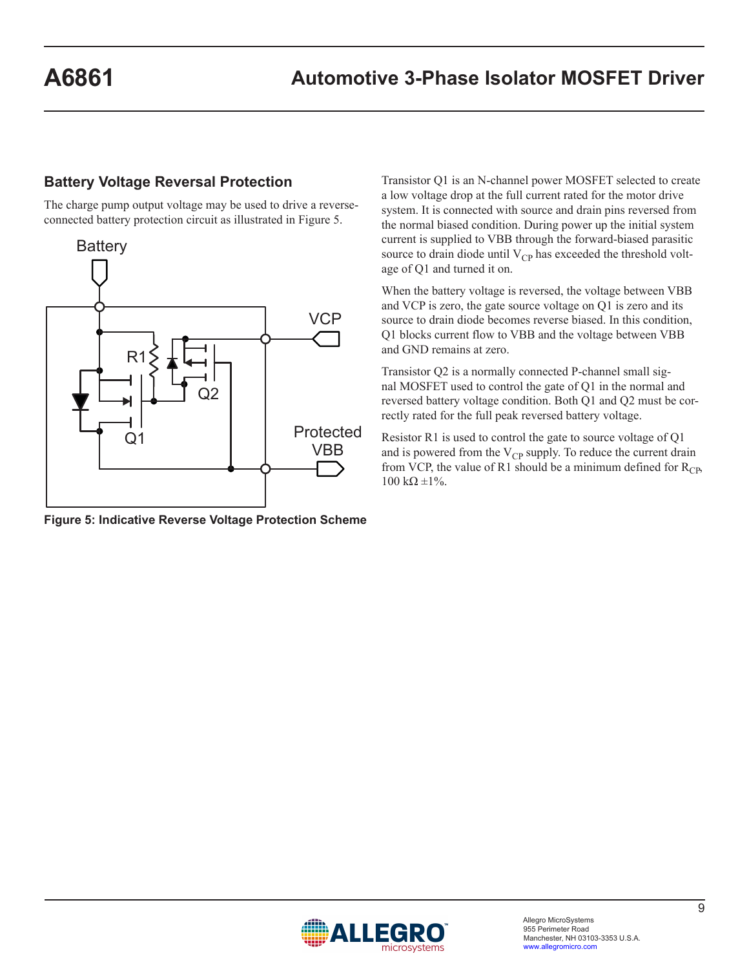#### **Battery Voltage Reversal Protection**

The charge pump output voltage may be used to drive a reverseconnected battery protection circuit as illustrated in Figure 5.



**Figure 5: Indicative Reverse Voltage Protection Scheme**

Transistor Q1 is an N-channel power MOSFET selected to create a low voltage drop at the full current rated for the motor drive system. It is connected with source and drain pins reversed from the normal biased condition. During power up the initial system current is supplied to VBB through the forward-biased parasitic source to drain diode until  $V_{CP}$  has exceeded the threshold voltage of Q1 and turned it on.

When the battery voltage is reversed, the voltage between VBB and VCP is zero, the gate source voltage on Q1 is zero and its source to drain diode becomes reverse biased. In this condition, Q1 blocks current flow to VBB and the voltage between VBB and GND remains at zero.

Transistor Q2 is a normally connected P-channel small signal MOSFET used to control the gate of Q1 in the normal and reversed battery voltage condition. Both Q1 and Q2 must be correctly rated for the full peak reversed battery voltage.

Resistor R1 is used to control the gate to source voltage of Q1 and is powered from the  $V_{CP}$  supply. To reduce the current drain from VCP, the value of R1 should be a minimum defined for  $R_{CP}$ ,  $100 \text{ k}\Omega \pm 1\%$ .

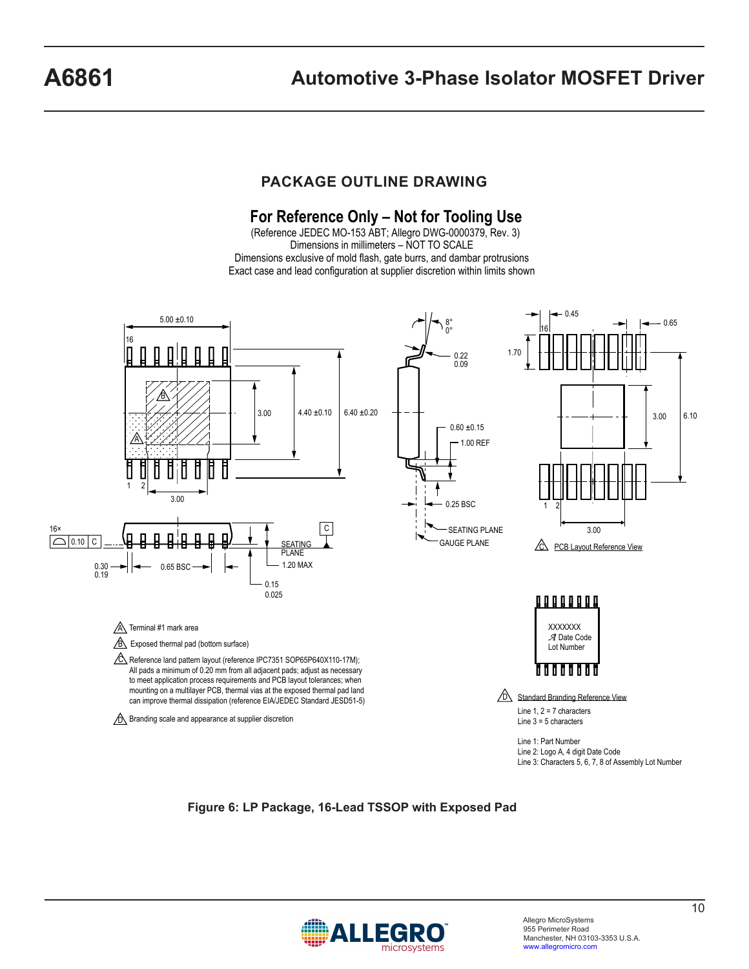#### **PACKAGE OUTLINE DRAWING**

# **For Reference Only – Not for Tooling Use**

(Reference JEDEC MO-153 ABT; Allegro DWG-0000379, Rev. 3) Dimensions in millimeters - NOT TO SCALE Dimensions exclusive of mold flash, gate burrs, and dambar protrusions Exact case and lead configuration at supplier discretion within limits shown



**Figure 6: LP Package, 16-Lead TSSOP with Exposed Pad**